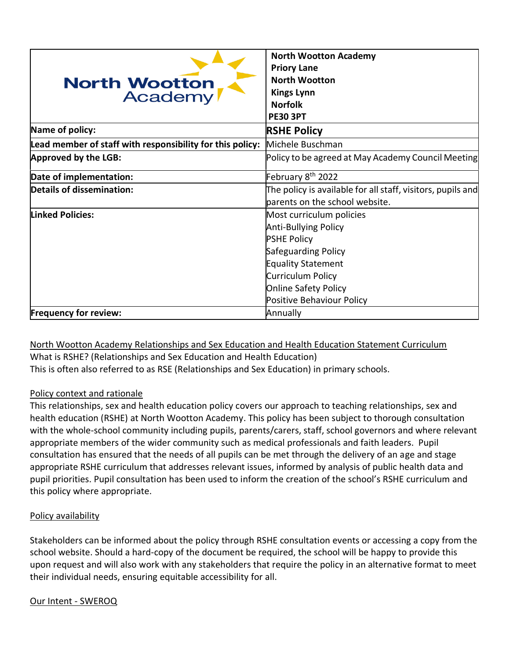| <b>North Wootton</b><br>Academy                           | <b>North Wootton Academy</b><br><b>Priory Lane</b><br><b>North Wootton</b><br><b>Kings Lynn</b><br><b>Norfolk</b><br><b>PE30 3PT</b>                                                                 |
|-----------------------------------------------------------|------------------------------------------------------------------------------------------------------------------------------------------------------------------------------------------------------|
| Name of policy:                                           | <b>RSHE Policy</b>                                                                                                                                                                                   |
| Lead member of staff with responsibility for this policy: | Michele Buschman                                                                                                                                                                                     |
| Approved by the LGB:                                      | Policy to be agreed at May Academy Council Meeting                                                                                                                                                   |
| Date of implementation:                                   | February 8 <sup>th</sup> 2022                                                                                                                                                                        |
| Details of dissemination:                                 | The policy is available for all staff, visitors, pupils and<br>parents on the school website.                                                                                                        |
| <b>Linked Policies:</b>                                   | Most curriculum policies<br><b>Anti-Bullying Policy</b><br><b>PSHE Policy</b><br>Safeguarding Policy<br>Equality Statement<br>Curriculum Policy<br>Online Safety Policy<br>Positive Behaviour Policy |
| <b>Frequency for review:</b>                              | Annually                                                                                                                                                                                             |

North Wootton Academy Relationships and Sex Education and Health Education Statement Curriculum What is RSHE? (Relationships and Sex Education and Health Education) This is often also referred to as RSE (Relationships and Sex Education) in primary schools.

### Policy context and rationale

This relationships, sex and health education policy covers our approach to teaching relationships, sex and health education (RSHE) at North Wootton Academy. This policy has been subject to thorough consultation with the whole-school community including pupils, parents/carers, staff, school governors and where relevant appropriate members of the wider community such as medical professionals and faith leaders. Pupil consultation has ensured that the needs of all pupils can be met through the delivery of an age and stage appropriate RSHE curriculum that addresses relevant issues, informed by analysis of public health data and pupil priorities. Pupil consultation has been used to inform the creation of the school's RSHE curriculum and this policy where appropriate.

### Policy availability

Stakeholders can be informed about the policy through RSHE consultation events or accessing a copy from the school website. Should a hard-copy of the document be required, the school will be happy to provide this upon request and will also work with any stakeholders that require the policy in an alternative format to meet their individual needs, ensuring equitable accessibility for all.

#### Our Intent - SWEROQ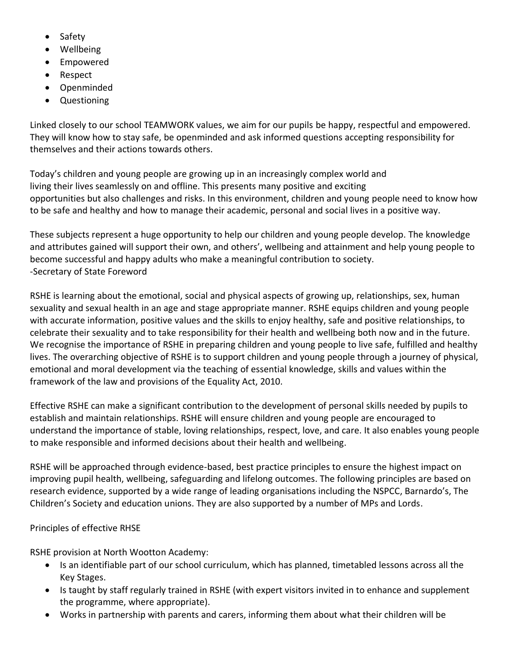- Safety
- Wellbeing
- Empowered
- Respect
- Openminded
- Questioning

Linked closely to our school TEAMWORK values, we aim for our pupils be happy, respectful and empowered. They will know how to stay safe, be openminded and ask informed questions accepting responsibility for themselves and their actions towards others.

Today's children and young people are growing up in an increasingly complex world and living their lives seamlessly on and offline. This presents many positive and exciting opportunities but also challenges and risks. In this environment, children and young people need to know how to be safe and healthy and how to manage their academic, personal and social lives in a positive way.

These subjects represent a huge opportunity to help our children and young people develop. The knowledge and attributes gained will support their own, and others', wellbeing and attainment and help young people to become successful and happy adults who make a meaningful contribution to society. -Secretary of State Foreword

RSHE is learning about the emotional, social and physical aspects of growing up, relationships, sex, human sexuality and sexual health in an age and stage appropriate manner. RSHE equips children and young people with accurate information, positive values and the skills to enjoy healthy, safe and positive relationships, to celebrate their sexuality and to take responsibility for their health and wellbeing both now and in the future. We recognise the importance of RSHE in preparing children and young people to live safe, fulfilled and healthy lives. The overarching objective of RSHE is to support children and young people through a journey of physical, emotional and moral development via the teaching of essential knowledge, skills and values within the framework of the law and provisions of the Equality Act, 2010.

Effective RSHE can make a significant contribution to the development of personal skills needed by pupils to establish and maintain relationships. RSHE will ensure children and young people are encouraged to understand the importance of stable, loving relationships, respect, love, and care. It also enables young people to make responsible and informed decisions about their health and wellbeing.

RSHE will be approached through evidence-based, best practice principles to ensure the highest impact on improving pupil health, wellbeing, safeguarding and lifelong outcomes. The following principles are based on research evidence, supported by a wide range of leading organisations including the NSPCC, Barnardo's, The Children's Society and education unions. They are also supported by a number of MPs and Lords.

# Principles of effective RHSE

RSHE provision at North Wootton Academy:

- Is an identifiable part of our school curriculum, which has planned, timetabled lessons across all the Key Stages.
- Is taught by staff regularly trained in RSHE (with expert visitors invited in to enhance and supplement the programme, where appropriate).
- Works in partnership with parents and carers, informing them about what their children will be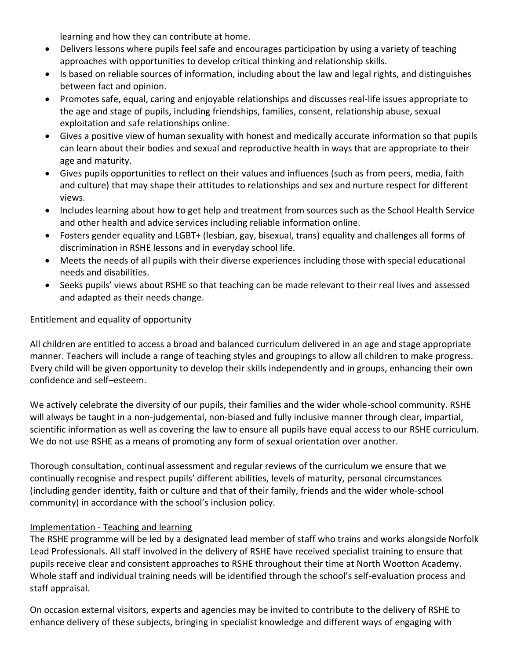learning and how they can contribute at home.

- Delivers lessons where pupils feel safe and encourages participation by using a variety of teaching approaches with opportunities to develop critical thinking and relationship skills.
- Is based on reliable sources of information, including about the law and legal rights, and distinguishes between fact and opinion.
- Promotes safe, equal, caring and enjoyable relationships and discusses real-life issues appropriate to the age and stage of pupils, including friendships, families, consent, relationship abuse, sexual exploitation and safe relationships online.
- Gives a positive view of human sexuality with honest and medically accurate information so that pupils can learn about their bodies and sexual and reproductive health in ways that are appropriate to their age and maturity.
- Gives pupils opportunities to reflect on their values and influences (such as from peers, media, faith and culture) that may shape their attitudes to relationships and sex and nurture respect for different views.
- Includes learning about how to get help and treatment from sources such as the School Health Service and other health and advice services including reliable information online.
- Fosters gender equality and LGBT+ (lesbian, gay, bisexual, trans) equality and challenges all forms of discrimination in RSHE lessons and in everyday school life.
- Meets the needs of all pupils with their diverse experiences including those with special educational needs and disabilities.
- Seeks pupils' views about RSHE so that teaching can be made relevant to their real lives and assessed and adapted as their needs change.

### Entitlement and equality of opportunity

All children are entitled to access a broad and balanced curriculum delivered in an age and stage appropriate manner. Teachers will include a range of teaching styles and groupings to allow all children to make progress. Every child will be given opportunity to develop their skills independently and in groups, enhancing their own confidence and self–esteem.

We actively celebrate the diversity of our pupils, their families and the wider whole-school community. RSHE will always be taught in a non-judgemental, non-biased and fully inclusive manner through clear, impartial, scientific information as well as covering the law to ensure all pupils have equal access to our RSHE curriculum. We do not use RSHE as a means of promoting any form of sexual orientation over another.

Thorough consultation, continual assessment and regular reviews of the curriculum we ensure that we continually recognise and respect pupils' different abilities, levels of maturity, personal circumstances (including gender identity, faith or culture and that of their family, friends and the wider whole-school community) in accordance with the school's inclusion policy.

### Implementation - Teaching and learning

The RSHE programme will be led by a designated lead member of staff who trains and works alongside Norfolk Lead Professionals. All staff involved in the delivery of RSHE have received specialist training to ensure that pupils receive clear and consistent approaches to RSHE throughout their time at North Wootton Academy. Whole staff and individual training needs will be identified through the school's self-evaluation process and staff appraisal.

On occasion external visitors, experts and agencies may be invited to contribute to the delivery of RSHE to enhance delivery of these subjects, bringing in specialist knowledge and different ways of engaging with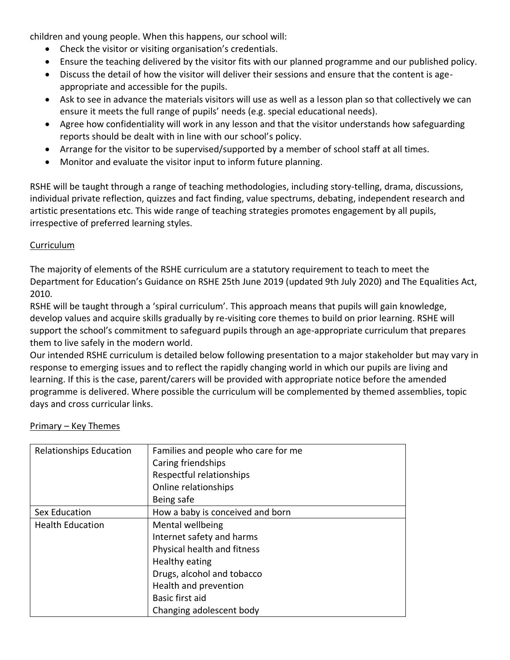children and young people. When this happens, our school will:

- Check the visitor or visiting organisation's credentials.
- Ensure the teaching delivered by the visitor fits with our planned programme and our published policy.
- Discuss the detail of how the visitor will deliver their sessions and ensure that the content is ageappropriate and accessible for the pupils.
- Ask to see in advance the materials visitors will use as well as a lesson plan so that collectively we can ensure it meets the full range of pupils' needs (e.g. special educational needs).
- Agree how confidentiality will work in any lesson and that the visitor understands how safeguarding reports should be dealt with in line with our school's policy.
- Arrange for the visitor to be supervised/supported by a member of school staff at all times.
- Monitor and evaluate the visitor input to inform future planning.

RSHE will be taught through a range of teaching methodologies, including story-telling, drama, discussions, individual private reflection, quizzes and fact finding, value spectrums, debating, independent research and artistic presentations etc. This wide range of teaching strategies promotes engagement by all pupils, irrespective of preferred learning styles.

### Curriculum

The majority of elements of the RSHE curriculum are a statutory requirement to teach to meet the Department for Education's Guidance on RSHE 25th June 2019 (updated 9th July 2020) and The Equalities Act, 2010.

RSHE will be taught through a 'spiral curriculum'. This approach means that pupils will gain knowledge, develop values and acquire skills gradually by re-visiting core themes to build on prior learning. RSHE will support the school's commitment to safeguard pupils through an age-appropriate curriculum that prepares them to live safely in the modern world.

Our intended RSHE curriculum is detailed below following presentation to a major stakeholder but may vary in response to emerging issues and to reflect the rapidly changing world in which our pupils are living and learning. If this is the case, parent/carers will be provided with appropriate notice before the amended programme is delivered. Where possible the curriculum will be complemented by themed assemblies, topic days and cross curricular links.

| <b>Relationships Education</b> | Families and people who care for me |  |
|--------------------------------|-------------------------------------|--|
|                                | Caring friendships                  |  |
|                                | Respectful relationships            |  |
|                                | Online relationships                |  |
|                                | Being safe                          |  |
| Sex Education                  | How a baby is conceived and born    |  |
| <b>Health Education</b>        | Mental wellbeing                    |  |
|                                | Internet safety and harms           |  |
|                                | Physical health and fitness         |  |
|                                | Healthy eating                      |  |
|                                | Drugs, alcohol and tobacco          |  |
|                                | Health and prevention               |  |
|                                | Basic first aid                     |  |
|                                | Changing adolescent body            |  |

#### Primary – Key Themes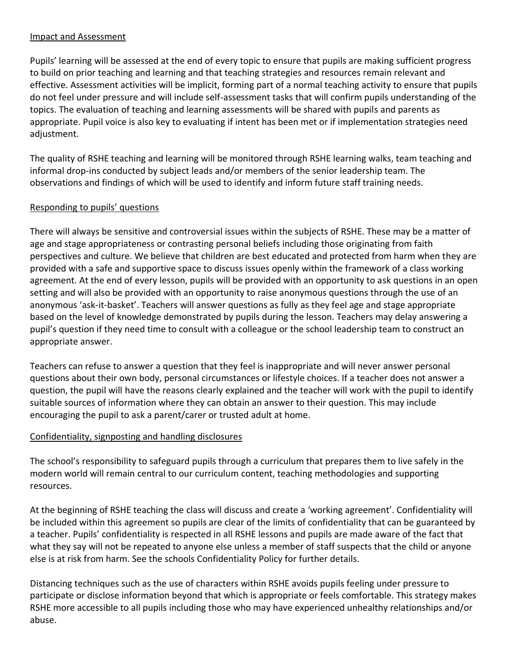### Impact and Assessment

Pupils' learning will be assessed at the end of every topic to ensure that pupils are making sufficient progress to build on prior teaching and learning and that teaching strategies and resources remain relevant and effective. Assessment activities will be implicit, forming part of a normal teaching activity to ensure that pupils do not feel under pressure and will include self-assessment tasks that will confirm pupils understanding of the topics. The evaluation of teaching and learning assessments will be shared with pupils and parents as appropriate. Pupil voice is also key to evaluating if intent has been met or if implementation strategies need adjustment.

The quality of RSHE teaching and learning will be monitored through RSHE learning walks, team teaching and informal drop-ins conducted by subject leads and/or members of the senior leadership team. The observations and findings of which will be used to identify and inform future staff training needs.

### Responding to pupils' questions

There will always be sensitive and controversial issues within the subjects of RSHE. These may be a matter of age and stage appropriateness or contrasting personal beliefs including those originating from faith perspectives and culture. We believe that children are best educated and protected from harm when they are provided with a safe and supportive space to discuss issues openly within the framework of a class working agreement. At the end of every lesson, pupils will be provided with an opportunity to ask questions in an open setting and will also be provided with an opportunity to raise anonymous questions through the use of an anonymous 'ask-it-basket'. Teachers will answer questions as fully as they feel age and stage appropriate based on the level of knowledge demonstrated by pupils during the lesson. Teachers may delay answering a pupil's question if they need time to consult with a colleague or the school leadership team to construct an appropriate answer.

Teachers can refuse to answer a question that they feel is inappropriate and will never answer personal questions about their own body, personal circumstances or lifestyle choices. If a teacher does not answer a question, the pupil will have the reasons clearly explained and the teacher will work with the pupil to identify suitable sources of information where they can obtain an answer to their question. This may include encouraging the pupil to ask a parent/carer or trusted adult at home.

## Confidentiality, signposting and handling disclosures

The school's responsibility to safeguard pupils through a curriculum that prepares them to live safely in the modern world will remain central to our curriculum content, teaching methodologies and supporting resources.

At the beginning of RSHE teaching the class will discuss and create a 'working agreement'. Confidentiality will be included within this agreement so pupils are clear of the limits of confidentiality that can be guaranteed by a teacher. Pupils' confidentiality is respected in all RSHE lessons and pupils are made aware of the fact that what they say will not be repeated to anyone else unless a member of staff suspects that the child or anyone else is at risk from harm. See the schools Confidentiality Policy for further details.

Distancing techniques such as the use of characters within RSHE avoids pupils feeling under pressure to participate or disclose information beyond that which is appropriate or feels comfortable. This strategy makes RSHE more accessible to all pupils including those who may have experienced unhealthy relationships and/or abuse.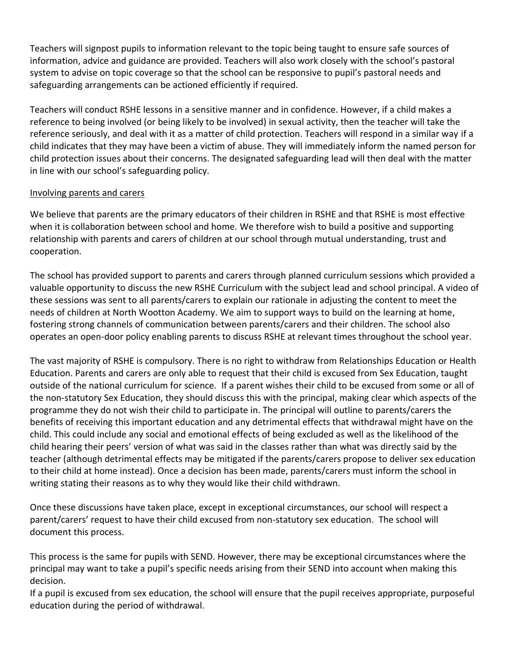Teachers will signpost pupils to information relevant to the topic being taught to ensure safe sources of information, advice and guidance are provided. Teachers will also work closely with the school's pastoral system to advise on topic coverage so that the school can be responsive to pupil's pastoral needs and safeguarding arrangements can be actioned efficiently if required.

Teachers will conduct RSHE lessons in a sensitive manner and in confidence. However, if a child makes a reference to being involved (or being likely to be involved) in sexual activity, then the teacher will take the reference seriously, and deal with it as a matter of child protection. Teachers will respond in a similar way if a child indicates that they may have been a victim of abuse. They will immediately inform the named person for child protection issues about their concerns. The designated safeguarding lead will then deal with the matter in line with our school's safeguarding policy.

### Involving parents and carers

We believe that parents are the primary educators of their children in RSHE and that RSHE is most effective when it is collaboration between school and home. We therefore wish to build a positive and supporting relationship with parents and carers of children at our school through mutual understanding, trust and cooperation.

The school has provided support to parents and carers through planned curriculum sessions which provided a valuable opportunity to discuss the new RSHE Curriculum with the subject lead and school principal. A video of these sessions was sent to all parents/carers to explain our rationale in adjusting the content to meet the needs of children at North Wootton Academy. We aim to support ways to build on the learning at home, fostering strong channels of communication between parents/carers and their children. The school also operates an open-door policy enabling parents to discuss RSHE at relevant times throughout the school year.

The vast majority of RSHE is compulsory. There is no right to withdraw from Relationships Education or Health Education. Parents and carers are only able to request that their child is excused from Sex Education, taught outside of the national curriculum for science. If a parent wishes their child to be excused from some or all of the non-statutory Sex Education, they should discuss this with the principal, making clear which aspects of the programme they do not wish their child to participate in. The principal will outline to parents/carers the benefits of receiving this important education and any detrimental effects that withdrawal might have on the child. This could include any social and emotional effects of being excluded as well as the likelihood of the child hearing their peers' version of what was said in the classes rather than what was directly said by the teacher (although detrimental effects may be mitigated if the parents/carers propose to deliver sex education to their child at home instead). Once a decision has been made, parents/carers must inform the school in writing stating their reasons as to why they would like their child withdrawn.

Once these discussions have taken place, except in exceptional circumstances, our school will respect a parent/carers' request to have their child excused from non-statutory sex education. The school will document this process.

This process is the same for pupils with SEND. However, there may be exceptional circumstances where the principal may want to take a pupil's specific needs arising from their SEND into account when making this decision.

If a pupil is excused from sex education, the school will ensure that the pupil receives appropriate, purposeful education during the period of withdrawal.